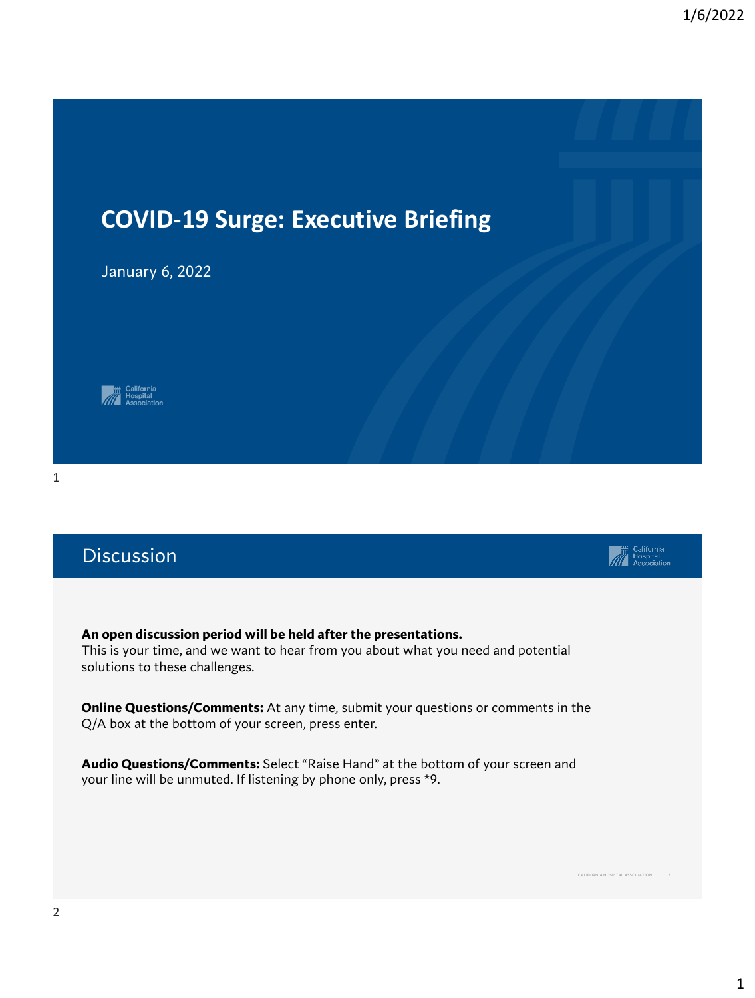

## Discussion

**An open discussion period will be held after the presentations.**  This is your time, and we want to hear from you about what you need and potential solutions to these challenges.

**Online Questions/Comments:** At any time, submit your questions or comments in the Q/A box at the bottom of your screen, press enter.

**Audio Questions/Comments:** Select "Raise Hand" at the bottom of your screen and your line will be unmuted. If listening by phone only, press \*9.



CALIFORNIA HOSPITAL ASSOCIATION 2

**Elliptonia**<br>
Hospital<br>
Association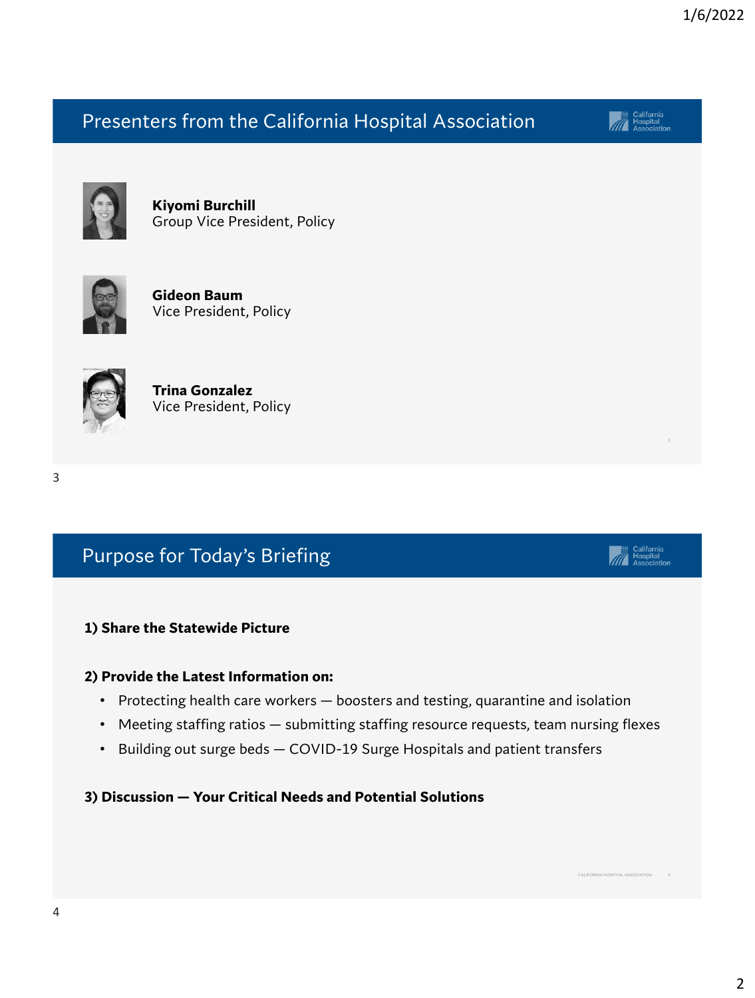## Presenters from the California Hospital Association

**Kiyomi Burchill** Group Vice President, Policy



**Gideon Baum** Vice President, Policy



**Trina Gonzalez** Vice President, Policy

#### 3

## Purpose for Today's Briefing

### **1) Share the Statewide Picture**

#### **2) Provide the Latest Information on:**

- Protecting health care workers boosters and testing, quarantine and isolation
- Meeting staffing ratios submitting staffing resource requests, team nursing flexes
- Building out surge beds COVID-19 Surge Hospitals and patient transfers

**3) Discussion — Your Critical Needs and Potential Solutions**



California<br>Hospital<br>Association

CALIFORNIA HOSPITAL ASSOCIATION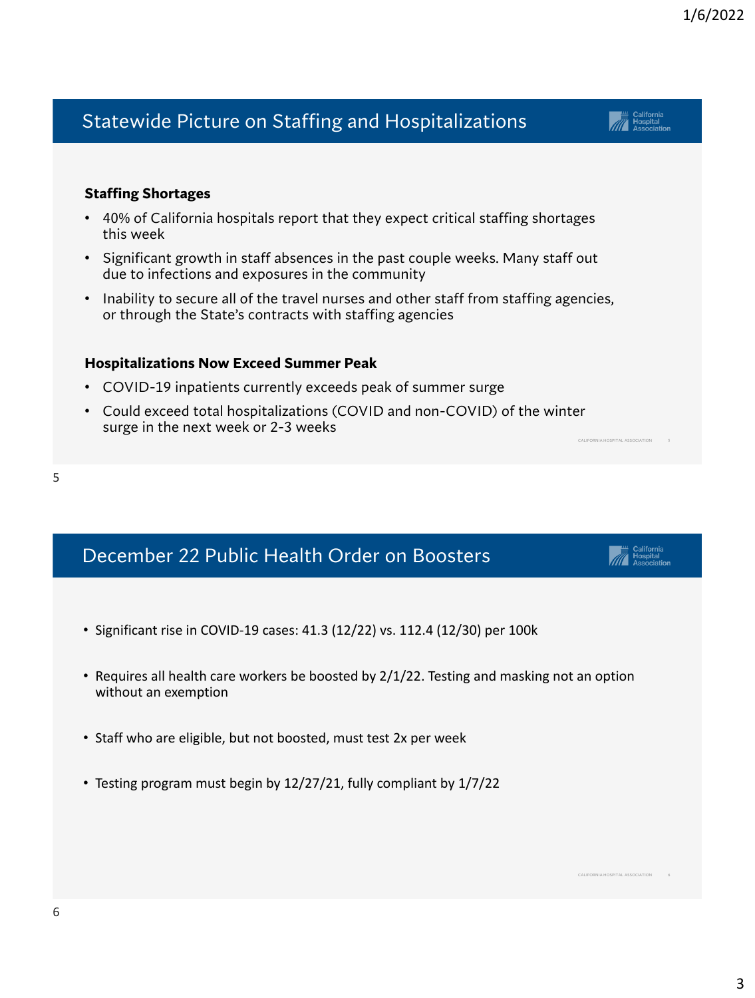## Statewide Picture on Staffing and Hospitalizations

### **Staffing Shortages**

- 40% of California hospitals report that they expect critical staffing shortages this week
- Significant growth in staff absences in the past couple weeks. Many staff out due to infections and exposures in the community
- Inability to secure all of the travel nurses and other staff from staffing agencies, or through the State's contracts with staffing agencies

### **Hospitalizations Now Exceed Summer Peak**

- COVID-19 inpatients currently exceeds peak of summer surge
- Could exceed total hospitalizations (COVID and non-COVID) of the winter surge in the next week or 2-3 weeks
- 5

## December 22 Public Health Order on Boosters

- Significant rise in COVID-19 cases: 41.3 (12/22) vs. 112.4 (12/30) per 100k
- Requires all health care workers be boosted by 2/1/22. Testing and masking not an option without an exemption
- Staff who are eligible, but not boosted, must test 2x per week
- Testing program must begin by 12/27/21, fully compliant by 1/7/22





CALIFORNIA HOSPITAL ASSOCIATION 6

CALIFORNIA HOSPITAL ASSOCIATION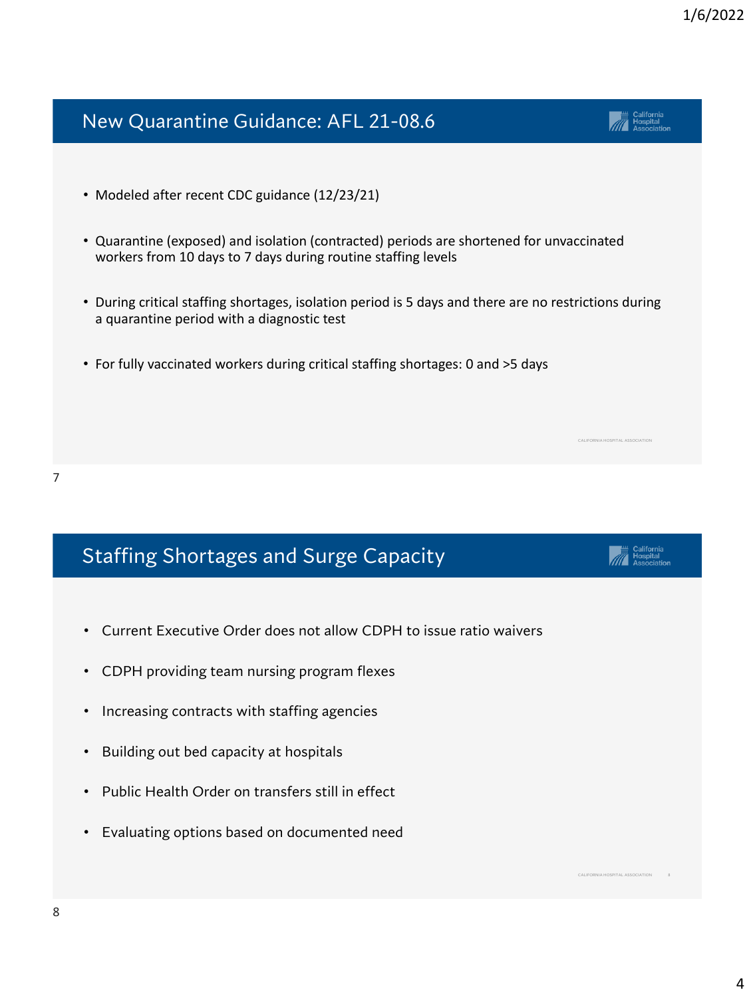4

# New Quarantine Guidance: AFL 21-08.6

- Modeled after recent CDC guidance (12/23/21)
- Quarantine (exposed) and isolation (contracted) periods are shortened for unvaccinated workers from 10 days to 7 days during routine staffing levels
- During critical staffing shortages, isolation period is 5 days and there are no restrictions during a quarantine period with a diagnostic test
- For fully vaccinated workers during critical staffing shortages: 0 and >5 days

# Staffing Shortages and Surge Capacity

- Current Executive Order does not allow CDPH to issue ratio waivers
- CDPH providing team nursing program flexes
- Increasing contracts with staffing agencies
- Building out bed capacity at hospitals
- Public Health Order on transfers still in effect
- Evaluating options based on documented need



CALIFORNIA HOSPITAL ASSOCIATION

CALIFORNIA HOSPITAL ASSOCIATION

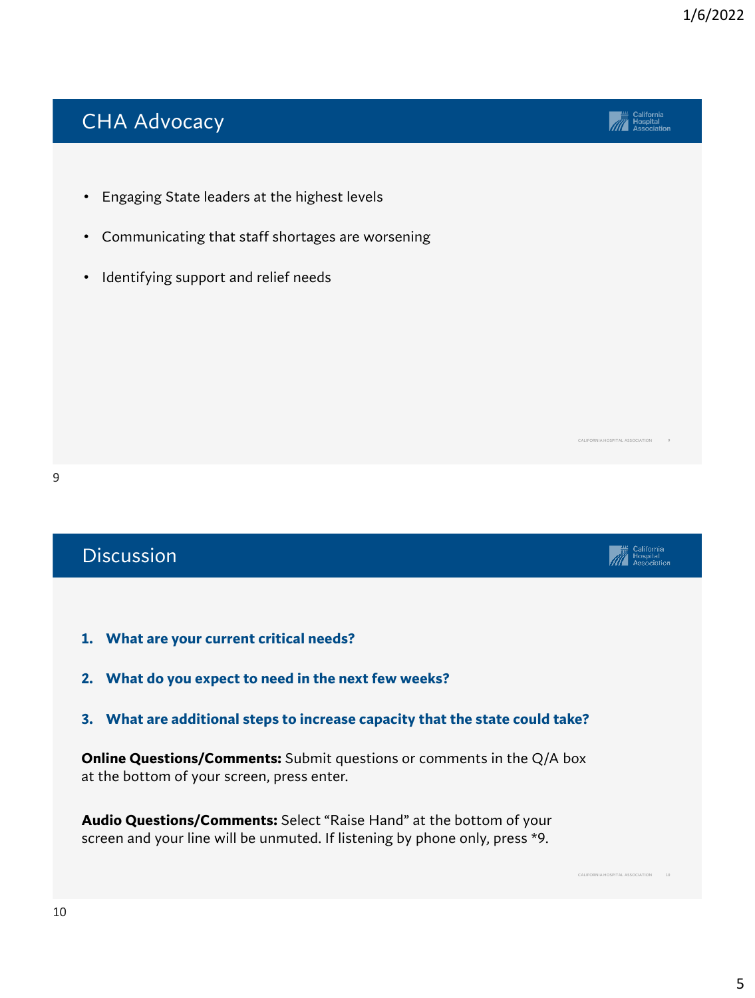CALIFORNIA HOSPITAL ASSOCIATION

**Alle California**<br> **Alle Hospital**<br>
Association

# CHA Advocacy

- Engaging State leaders at the highest levels
- Communicating that staff shortages are worsening
- Identifying support and relief needs



| <b>Discussion</b>                                                                                                                                         |                                 |
|-----------------------------------------------------------------------------------------------------------------------------------------------------------|---------------------------------|
|                                                                                                                                                           |                                 |
| What are your current critical needs?<br>1.                                                                                                               |                                 |
| What do you expect to need in the next few weeks?<br>2.                                                                                                   |                                 |
| 3. What are additional steps to increase capacity that the state could take?                                                                              |                                 |
| <b>Online Questions/Comments:</b> Submit questions or comments in the $Q/A$ box<br>at the bottom of your screen, press enter.                             |                                 |
| <b>Audio Questions/Comments:</b> Select "Raise Hand" at the bottom of your<br>screen and your line will be unmuted. If listening by phone only, press *9. |                                 |
|                                                                                                                                                           | CALIFORNIA HOSPITAL ASSOCIATION |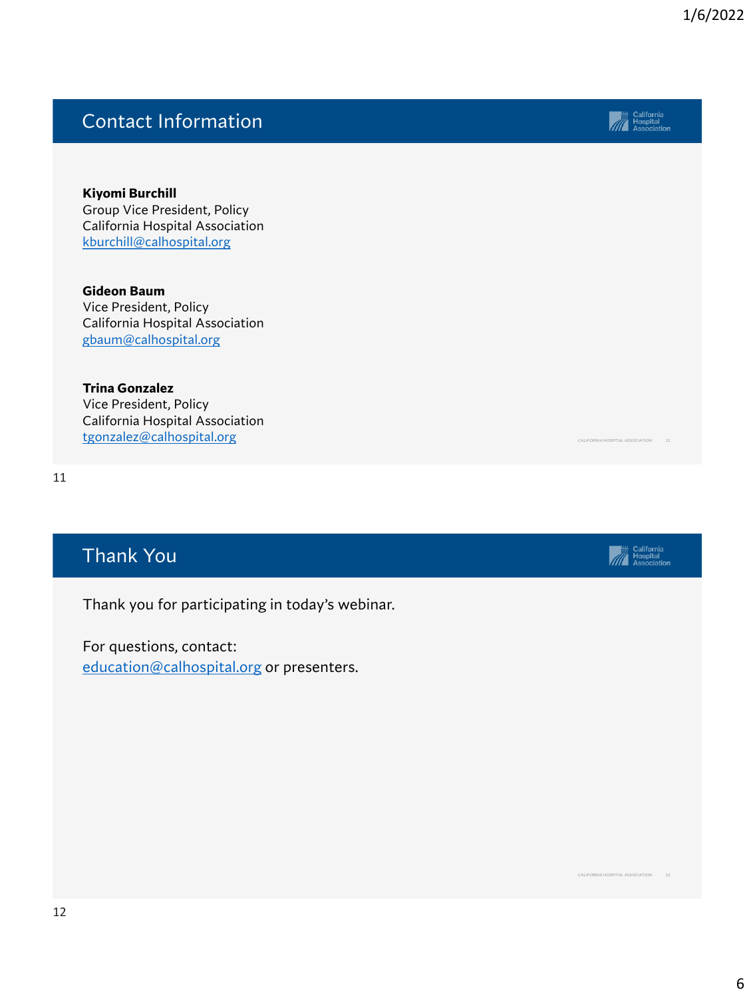## Contact Information

**Kiyomi Burchill** Group Vice President, Policy California Hospital Association kburchill@calhospital.org

**Gideon Baum** Vice President, Policy California Hospital Association gbaum@calhospital.org

**Trina Gonzalez**

Vice President, Policy California Hospital Association tgonzalez@calhospital.org

11

## Thank You

Thank you for participating in today's webinar.

For questions, contact: [education@calhospital.org](mailto:education@calhospital.org) or presenters.



CALIFORNIA HOSPITAL ASSOCIATION 12

CALIFORNIA HOSPITAL ASSOCIATION 11

**Allistance**<br> **Allistance**<br> **Association**